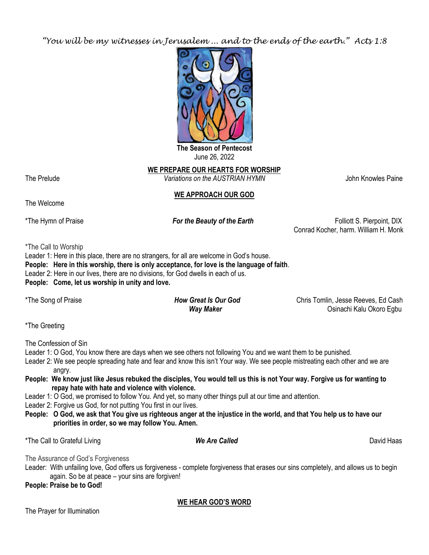*"You will be my witnesses in Jerusalem ... and to the ends of the earth." Acts 1:8*



**The Season of Pentecost** June 26, 2022

**WE PREPARE OUR HEARTS FOR WORSHIP** The Prelude *Variations on the AUSTRIAN HYMN* John Knowles Paine

# **WE APPROACH OUR GOD**

The Welcome

\*The Hymn of Praise *For the Beauty of the Earth* Folliott S. Pierpoint, DIX Conrad Kocher, harm. William H. Monk

\*The Call to Worship

Leader 1: Here in this place, there are no strangers, for all are welcome in God's house.

**People: Here in this worship, there is only acceptance, for love is the language of faith**.

Leader 2: Here in our lives, there are no divisions, for God dwells in each of us.

**People: Come, let us worship in unity and love.**

\*The Song of Praise *How Great Is Our God* Chris Tomlin, Jesse Reeves, Ed Cash *Way Maker* **Way Maker Way Maker Way Maker Osinachi Kalu Okoro Egbu** 

\*The Greeting

The Confession of Sin

Leader 1: O God, You know there are days when we see others not following You and we want them to be punished.

Leader 2: We see people spreading hate and fear and know this isn't Your way. We see people mistreating each other and we are angry.

**People: We know just like Jesus rebuked the disciples, You would tell us this is not Your way. Forgive us for wanting to repay hate with hate and violence with violence.**

Leader 1: O God, we promised to follow You. And yet, so many other things pull at our time and attention.

Leader 2: Forgive us God, for not putting You first in our lives.

**People: O God, we ask that You give us righteous anger at the injustice in the world, and that You help us to have our priorities in order, so we may follow You. Amen.**

\*The Call to Grateful Living *We Are Called* David Haas

The Assurance of God's Forgiveness

Leader: With unfailing love, God offers us forgiveness - complete forgiveness that erases our sins completely, and allows us to begin again. So be at peace – your sins are forgiven!

**People: Praise be to God!**

**WE HEAR GOD'S WORD**

The Prayer for Illumination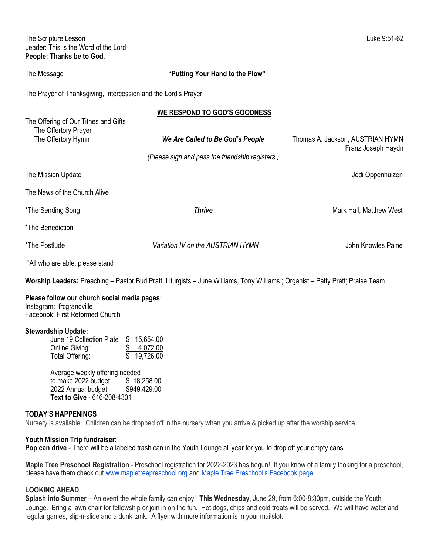The Scripture Lesson Luke 9:51-62 Leader: This is the Word of the Lord **People: Thanks be to God.**

The Message **"Putting Your Hand to the Plow"**

The Prayer of Thanksgiving, Intercession and the Lord's Prayer

|                                                                                    | WE RESPOND TO GOD'S GOODNESS                                                         |                                                        |
|------------------------------------------------------------------------------------|--------------------------------------------------------------------------------------|--------------------------------------------------------|
| The Offering of Our Tithes and Gifts<br>The Offertory Prayer<br>The Offertory Hymn | We Are Called to Be God's People<br>(Please sign and pass the friendship registers.) | Thomas A. Jackson, AUSTRIAN HYMN<br>Franz Joseph Haydn |
| The Mission Update                                                                 |                                                                                      | Jodi Oppenhuizen                                       |
| The News of the Church Alive                                                       |                                                                                      |                                                        |
| *The Sending Song                                                                  | <b>Thrive</b>                                                                        | Mark Hall, Matthew West                                |
| *The Benediction                                                                   |                                                                                      |                                                        |
| *The Postlude                                                                      | Variation IV on the AUSTRIAN HYMN                                                    | John Knowles Paine                                     |
| *All who are able, please stand                                                    |                                                                                      |                                                        |

**Worship Leaders:** Preaching – Pastor Bud Pratt; Liturgists – June Williams, Tony Williams ; Organist – Patty Pratt; Praise Team

#### **Please follow our church social media pages**:

Instagram: frcgrandville Facebook: First Reformed Church

#### **Stewardship Update:**

| June 19 Collection Plate \$ 15,654.00 |
|---------------------------------------|
| 4,072.00                              |
| \$19,726.00                           |
|                                       |

Average weekly offering needed to make 2022 budget \$ 18,258.00 2022 Annual budget \$949,429.00 **Text to Give** - 616-208-4301

#### **TODAY'S HAPPENINGS**

Nursery is available. Children can be dropped off in the nursery when you arrive & picked up after the worship service.

#### **Youth Mission Trip fundraiser:**

**Pop can drive** - There will be a labeled trash can in the Youth Lounge all year for you to drop off your empty cans.

**Maple Tree Preschool Registration** - Preschool registration for 2022-2023 has begun! If you know of a family looking for a preschool, please have them check out [www.mapletreepreschool.org](http://www.mapletreepreschool.org/) and [Maple Tree Preschool's](https://www.facebook.com/Maple-Tree-Preschool-107534002642706) Facebook page.

# **LOOKING AHEAD**

**Splash into Summer** – An event the whole family can enjoy! **This Wednesday**, June 29, from 6:00-8:30pm, outside the Youth Lounge. Bring a lawn chair for fellowship or join in on the fun. Hot dogs, chips and cold treats will be served. We will have water and regular games, slip-n-slide and a dunk tank. A flyer with more information is in your mailslot.